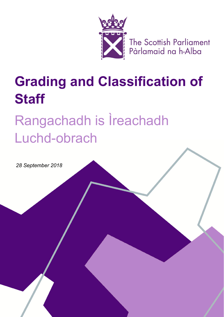

The Scottish Parliament<br>Pàrlamaid na h-Alba

## **Grading and Classification of Staff**

## Rangachadh is Ìreachadh Luchd-obrach

*28 September 2018*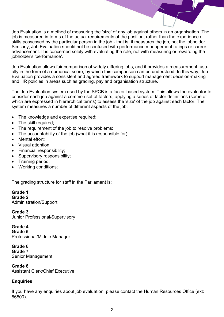Job Evaluation is a method of measuring the 'size' of any job against others in an organisation. The job is measured in terms of the actual requirements of the position, rather than the experience or skills possessed by the particular person in the job - that is, it measures the job, not the jobholder. Similarly, Job Evaluation should not be confused with performance management ratings or career advancement. It is concerned solely with evaluating the role, not with measuring or rewarding the jobholder's 'performance'.

Job Evaluation allows fair comparison of widely differing jobs, and it provides a measurement, usually in the form of a numerical score, by which this comparison can be understood. In this way, Job Evaluation provides a consistent and agreed framework to support management decision-making and HR policies in areas such as grading, pay and organisation structure.

The Job Evaluation system used by the SPCB is a factor-based system. This allows the evaluator to consider each job against a common set of factors, applying a series of factor definitions (some of which are expressed in hierarchical terms) to assess the 'size' of the job against each factor. The system measures a number of different aspects of the job:

- The knowledge and expertise required;
- The skill required;
- The requirement of the job to resolve problems;
- The accountability of the job (what it is responsible for);
- Mental effort:
- Visual attention
- Financial responsibility;
- Supervisory responsibility;
- Training period;
- Working conditions;

The grading structure for staff in the Parliament is:

**Grade 1 Grade 2** Administration/Support

**Grade 3**  Junior Professional/Supervisory

**Grade 4 Grade 5** Professional/Middle Manager

**Grade 6 Grade 7** Senior Management

**Grade 8**  Assistant Clerk/Chief Executive

## **Enquiries**

If you have any enquiries about job evaluation, please contact the Human Resources Office (ext: 86500).